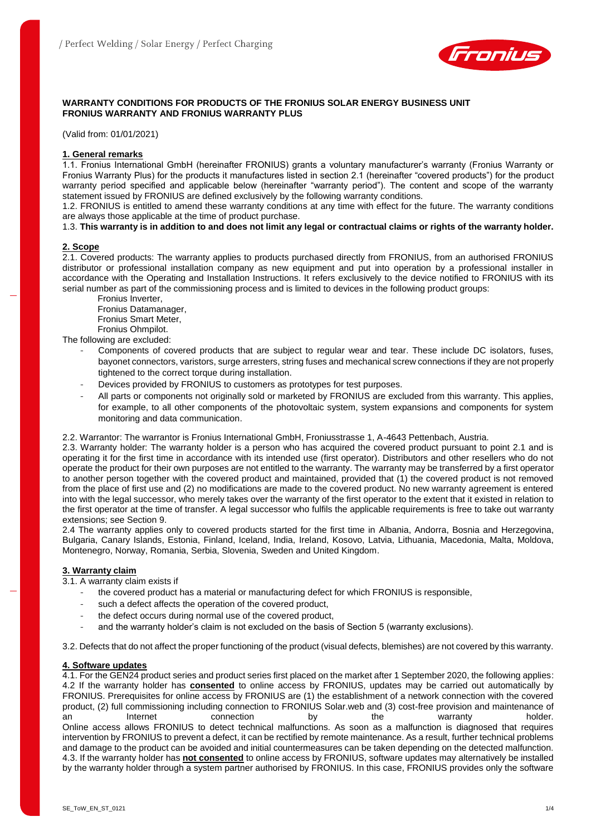

## **WARRANTY CONDITIONS FOR PRODUCTS OF THE FRONIUS SOLAR ENERGY BUSINESS UNIT FRONIUS WARRANTY AND FRONIUS WARRANTY PLUS**

(Valid from: 01/01/2021)

## **1. General remarks**

1.1. Fronius International GmbH (hereinafter FRONIUS) grants a voluntary manufacturer's warranty (Fronius Warranty or Fronius Warranty Plus) for the products it manufactures listed in section 2.1 (hereinafter "covered products") for the product warranty period specified and applicable below (hereinafter "warranty period"). The content and scope of the warranty statement issued by FRONIUS are defined exclusively by the following warranty conditions.

1.2. FRONIUS is entitled to amend these warranty conditions at any time with effect for the future. The warranty conditions are always those applicable at the time of product purchase.

1.3. **This warranty is in addition to and does not limit any legal or contractual claims or rights of the warranty holder.**

## **2. Scope**

2.1. Covered products: The warranty applies to products purchased directly from FRONIUS, from an authorised FRONIUS distributor or professional installation company as new equipment and put into operation by a professional installer in accordance with the Operating and Installation Instructions. It refers exclusively to the device notified to FRONIUS with its serial number as part of the commissioning process and is limited to devices in the following product groups:

Fronius Inverter,

Fronius Datamanager,

Fronius Smart Meter,

Fronius Ohmpilot. The following are excluded:

- Components of covered products that are subject to regular wear and tear. These include DC isolators, fuses, bayonet connectors, varistors, surge arresters, string fuses and mechanical screw connections if they are not properly tightened to the correct torque during installation.
- Devices provided by FRONIUS to customers as prototypes for test purposes.
- All parts or components not originally sold or marketed by FRONIUS are excluded from this warranty. This applies, for example, to all other components of the photovoltaic system, system expansions and components for system monitoring and data communication.

2.2. Warrantor: The warrantor is Fronius International GmbH, Froniusstrasse 1, A-4643 Pettenbach, Austria.

2.3. Warranty holder: The warranty holder is a person who has acquired the covered product pursuant to point 2.1 and is operating it for the first time in accordance with its intended use (first operator). Distributors and other resellers who do not operate the product for their own purposes are not entitled to the warranty. The warranty may be transferred by a first operator to another person together with the covered product and maintained, provided that (1) the covered product is not removed from the place of first use and (2) no modifications are made to the covered product. No new warranty agreement is entered into with the legal successor, who merely takes over the warranty of the first operator to the extent that it existed in relation to the first operator at the time of transfer. A legal successor who fulfils the applicable requirements is free to take out warranty extensions; see Section 9.

2.4 The warranty applies only to covered products started for the first time in Albania, Andorra, Bosnia and Herzegovina, Bulgaria, Canary Islands, Estonia, Finland, Iceland, India, Ireland, Kosovo, Latvia, Lithuania, Macedonia, Malta, Moldova, Montenegro, Norway, Romania, Serbia, Slovenia, Sweden and United Kingdom.

### **3. Warranty claim**

3.1. A warranty claim exists if

- the covered product has a material or manufacturing defect for which FRONIUS is responsible,
- such a defect affects the operation of the covered product,
- the defect occurs during normal use of the covered product,
- and the warranty holder's claim is not excluded on the basis of Section 5 (warranty exclusions).

3.2. Defects that do not affect the proper functioning of the product (visual defects, blemishes) are not covered by this warranty.

### **4. Software updates**

4.1. For the GEN24 product series and product series first placed on the market after 1 September 2020, the following applies: 4.2 If the warranty holder has **consented** to online access by FRONIUS, updates may be carried out automatically by FRONIUS. Prerequisites for online access by FRONIUS are (1) the establishment of a network connection with the covered product, (2) full commissioning including connection to FRONIUS Solar.web and (3) cost-free provision and maintenance of an Internet connection by the warranty holder. Online access allows FRONIUS to detect technical malfunctions. As soon as a malfunction is diagnosed that requires intervention by FRONIUS to prevent a defect, it can be rectified by remote maintenance. As a result, further technical problems and damage to the product can be avoided and initial countermeasures can be taken depending on the detected malfunction. 4.3. If the warranty holder has **not consented** to online access by FRONIUS, software updates may alternatively be installed by the warranty holder through a system partner authorised by FRONIUS. In this case, FRONIUS provides only the software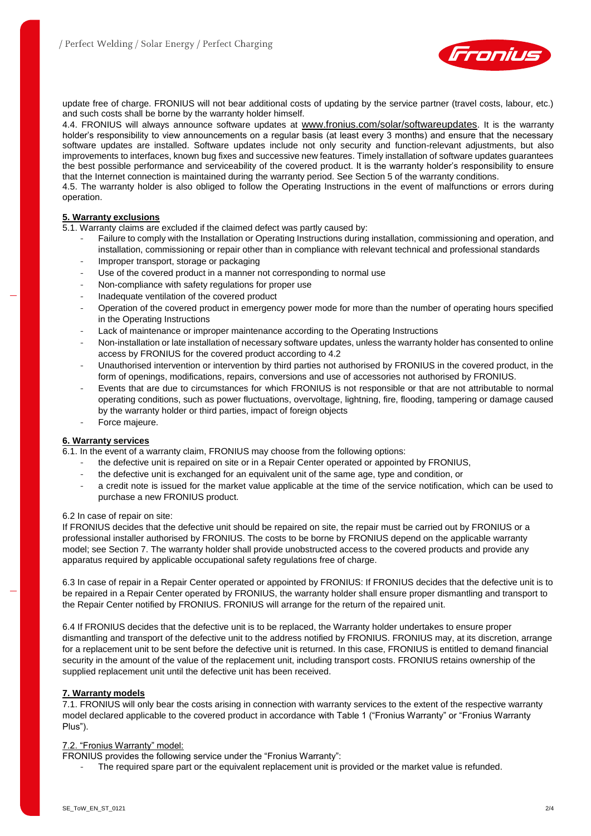

update free of charge. FRONIUS will not bear additional costs of updating by the service partner (travel costs, labour, etc.) and such costs shall be borne by the warranty holder himself.

4.4. FRONIUS will always announce software updates at [www.fronius.com/solar/softwareupdates](http://www.fronius.com/solar/softwareupdates). It is the warranty holder's responsibility to view announcements on a regular basis (at least every 3 months) and ensure that the necessary software updates are installed. Software updates include not only security and function-relevant adjustments, but also improvements to interfaces, known bug fixes and successive new features. Timely installation of software updates guarantees the best possible performance and serviceability of the covered product. It is the warranty holder's responsibility to ensure that the Internet connection is maintained during the warranty period. See Section 5 of the warranty conditions.

4.5. The warranty holder is also obliged to follow the Operating Instructions in the event of malfunctions or errors during operation.

## **5. Warranty exclusions**

5.1. Warranty claims are excluded if the claimed defect was partly caused by:

- Failure to comply with the Installation or Operating Instructions during installation, commissioning and operation, and installation, commissioning or repair other than in compliance with relevant technical and professional standards
- Improper transport, storage or packaging
- Use of the covered product in a manner not corresponding to normal use
- Non-compliance with safety regulations for proper use
- Inadequate ventilation of the covered product
- Operation of the covered product in emergency power mode for more than the number of operating hours specified in the Operating Instructions
- Lack of maintenance or improper maintenance according to the Operating Instructions
- Non-installation or late installation of necessary software updates, unless the warranty holder has consented to online access by FRONIUS for the covered product according to 4.2
- Unauthorised intervention or intervention by third parties not authorised by FRONIUS in the covered product, in the form of openings, modifications, repairs, conversions and use of accessories not authorised by FRONIUS.
- Events that are due to circumstances for which FRONIUS is not responsible or that are not attributable to normal operating conditions, such as power fluctuations, overvoltage, lightning, fire, flooding, tampering or damage caused by the warranty holder or third parties, impact of foreign objects
- Force majeure.

# **6. Warranty services**

6.1. In the event of a warranty claim, FRONIUS may choose from the following options:

- the defective unit is repaired on site or in a Repair Center operated or appointed by FRONIUS,
- the defective unit is exchanged for an equivalent unit of the same age, type and condition, or
- a credit note is issued for the market value applicable at the time of the service notification, which can be used to purchase a new FRONIUS product.

### 6.2 In case of repair on site:

If FRONIUS decides that the defective unit should be repaired on site, the repair must be carried out by FRONIUS or a professional installer authorised by FRONIUS. The costs to be borne by FRONIUS depend on the applicable warranty model; see Section 7. The warranty holder shall provide unobstructed access to the covered products and provide any apparatus required by applicable occupational safety regulations free of charge.

6.3 In case of repair in a Repair Center operated or appointed by FRONIUS: If FRONIUS decides that the defective unit is to be repaired in a Repair Center operated by FRONIUS, the warranty holder shall ensure proper dismantling and transport to the Repair Center notified by FRONIUS. FRONIUS will arrange for the return of the repaired unit.

6.4 If FRONIUS decides that the defective unit is to be replaced, the Warranty holder undertakes to ensure proper dismantling and transport of the defective unit to the address notified by FRONIUS. FRONIUS may, at its discretion, arrange for a replacement unit to be sent before the defective unit is returned. In this case, FRONIUS is entitled to demand financial security in the amount of the value of the replacement unit, including transport costs. FRONIUS retains ownership of the supplied replacement unit until the defective unit has been received.

# **7. Warranty models**

7.1. FRONIUS will only bear the costs arising in connection with warranty services to the extent of the respective warranty model declared applicable to the covered product in accordance with Table 1 ("Fronius Warranty" or "Fronius Warranty Plus").

# 7.2. "Fronius Warranty" model:

- FRONIUS provides the following service under the "Fronius Warranty":
	- The required spare part or the equivalent replacement unit is provided or the market value is refunded.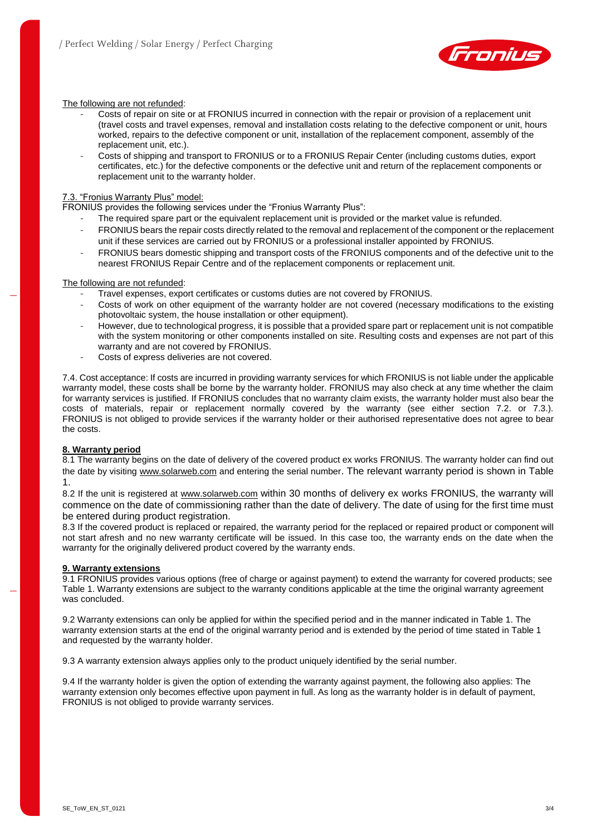

## The following are not refunded:

- Costs of repair on site or at FRONIUS incurred in connection with the repair or provision of a replacement unit (travel costs and travel expenses, removal and installation costs relating to the defective component or unit, hours worked, repairs to the defective component or unit, installation of the replacement component, assembly of the replacement unit, etc.).
- Costs of shipping and transport to FRONIUS or to a FRONIUS Repair Center (including customs duties, export certificates, etc.) for the defective components or the defective unit and return of the replacement components or replacement unit to the warranty holder.

## 7.3. "Fronius Warranty Plus" model:

FRONIUS provides the following services under the "Fronius Warranty Plus":

- The required spare part or the equivalent replacement unit is provided or the market value is refunded.
- FRONIUS bears the repair costs directly related to the removal and replacement of the component or the replacement unit if these services are carried out by FRONIUS or a professional installer appointed by FRONIUS.
- FRONIUS bears domestic shipping and transport costs of the FRONIUS components and of the defective unit to the nearest FRONIUS Repair Centre and of the replacement components or replacement unit.

## The following are not refunded:

- Travel expenses, export certificates or customs duties are not covered by FRONIUS.
- Costs of work on other equipment of the warranty holder are not covered (necessary modifications to the existing photovoltaic system, the house installation or other equipment).
- However, due to technological progress, it is possible that a provided spare part or replacement unit is not compatible with the system monitoring or other components installed on site. Resulting costs and expenses are not part of this warranty and are not covered by FRONIUS.
- Costs of express deliveries are not covered.

7.4. Cost acceptance: If costs are incurred in providing warranty services for which FRONIUS is not liable under the applicable warranty model, these costs shall be borne by the warranty holder. FRONIUS may also check at any time whether the claim for warranty services is justified. If FRONIUS concludes that no warranty claim exists, the warranty holder must also bear the costs of materials, repair or replacement normally covered by the warranty (see either section 7.2. or 7.3.). FRONIUS is not obliged to provide services if the warranty holder or their authorised representative does not agree to bear the costs.

# **8. Warranty period**

8.1 The warranty begins on the date of delivery of the covered product ex works FRONIUS. The warranty holder can find out the date by visiting [www.solarweb.com](http://www.solarweb.com/) and entering the serial number. The relevant warranty period is shown in Table 1.

8.2 If the unit is registered at [www.solarweb.com](http://www.solarweb.com/) within 30 months of delivery ex works FRONIUS, the warranty will commence on the date of commissioning rather than the date of delivery. The date of using for the first time must be entered during product registration.

8.3 If the covered product is replaced or repaired, the warranty period for the replaced or repaired product or component will not start afresh and no new warranty certificate will be issued. In this case too, the warranty ends on the date when the warranty for the originally delivered product covered by the warranty ends.

### **9. Warranty extensions**

9.1 FRONIUS provides various options (free of charge or against payment) to extend the warranty for covered products; see Table 1. Warranty extensions are subject to the warranty conditions applicable at the time the original warranty agreement was concluded.

9.2 Warranty extensions can only be applied for within the specified period and in the manner indicated in Table 1. The warranty extension starts at the end of the original warranty period and is extended by the period of time stated in Table 1 and requested by the warranty holder.

9.3 A warranty extension always applies only to the product uniquely identified by the serial number.

9.4 If the warranty holder is given the option of extending the warranty against payment, the following also applies: The warranty extension only becomes effective upon payment in full. As long as the warranty holder is in default of payment, FRONIUS is not obliged to provide warranty services.